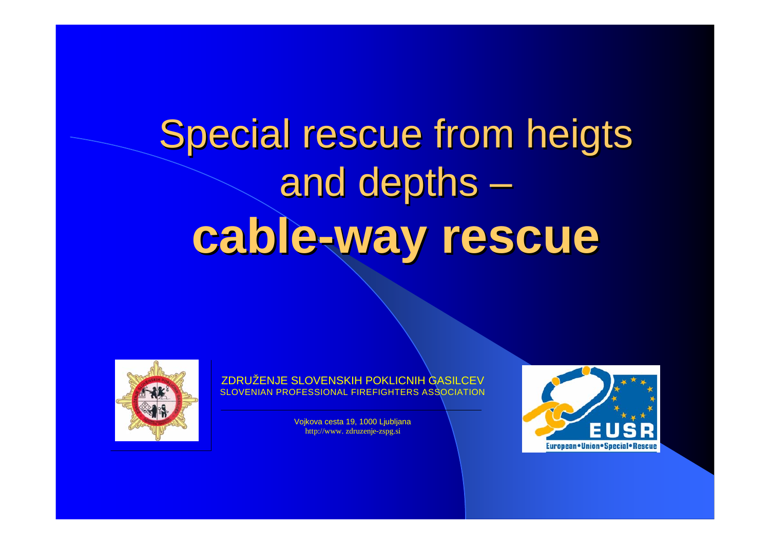# Special rescue from heigts and depths – **cable-way rescue**



ZDRUŽENJE SLOVENSKIH POKLICNIH GASILCEV SLOVENIAN PROFESSIONAL FIREFIGHTERS ASSOCIATION

> Vojkova cesta 19, 1000 Ljubljana http://www. zdruzenje-zspg.si

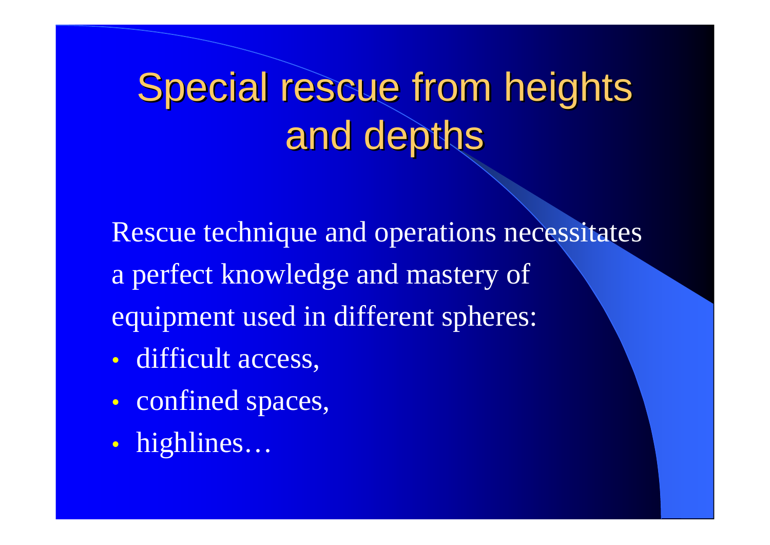# Special rescue from heights and depths

Rescue technique and operations necessitates a perfect knowledge and mastery of equipment used in different spheres:

- $\bullet$ difficult access,
- $\bullet$ • confined spaces,
- $\bullet$ highlines…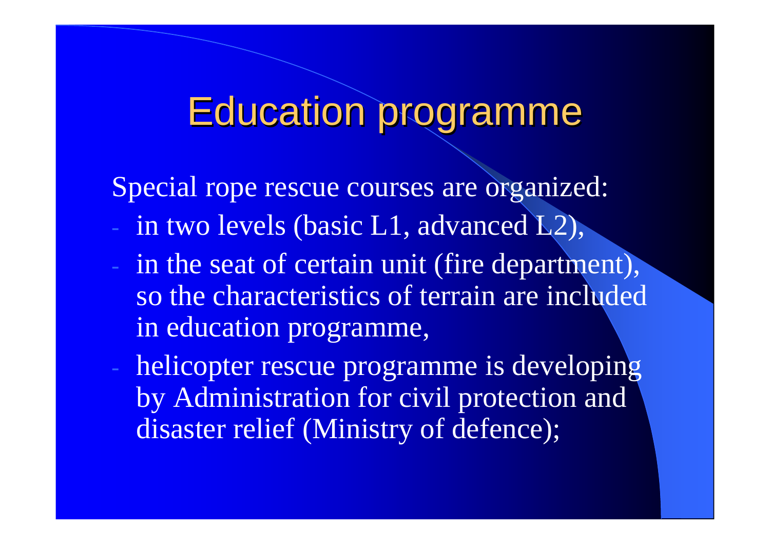#### **Education programme**

Special rope rescue courses are organized:

- in two levels (basic L1, advanced L2),
- in the seat of certain unit (fire department), so the characteristics of terrain are included in education programme,
- helicopter rescue programme is developing by Administration for civil protection and disaster relief (Ministry of defence);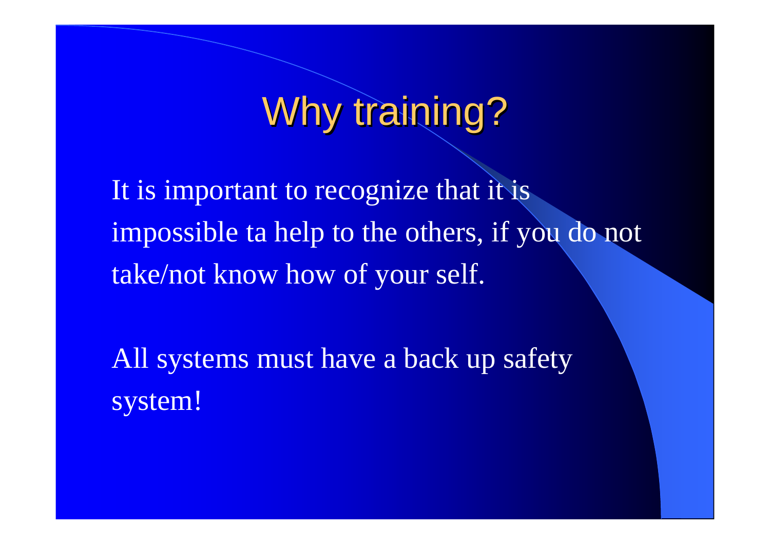# Why training?

It is important to recognize that it is impossible ta help to the others, if you do not take/not know how of your self.

All systems must have a back up safety system!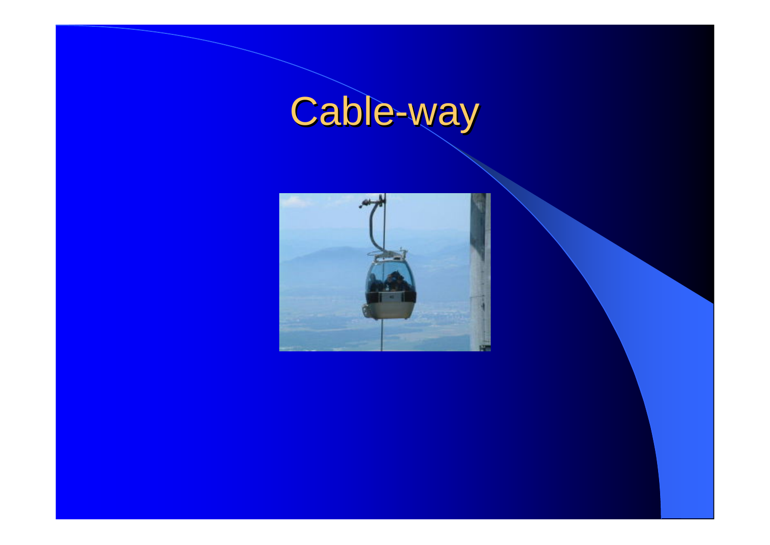#### **Cable** -way

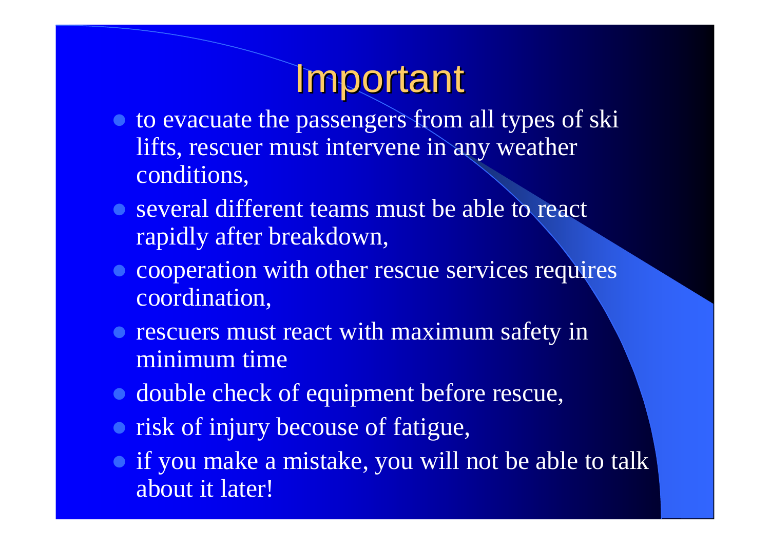# **Important**

- to evacuate the passengers from all types of ski lifts, rescuer must intervene in any weather conditions,
- several different teams must be able to react rapidly after breakdown,
- cooperation with other rescue services requires coordination,
- rescuers must react with maximum safety in minimum time
- double check of equipment before rescue,
- risk of injury becouse of fatigue,
- if you make a mistake, you will not be able to talk about it later!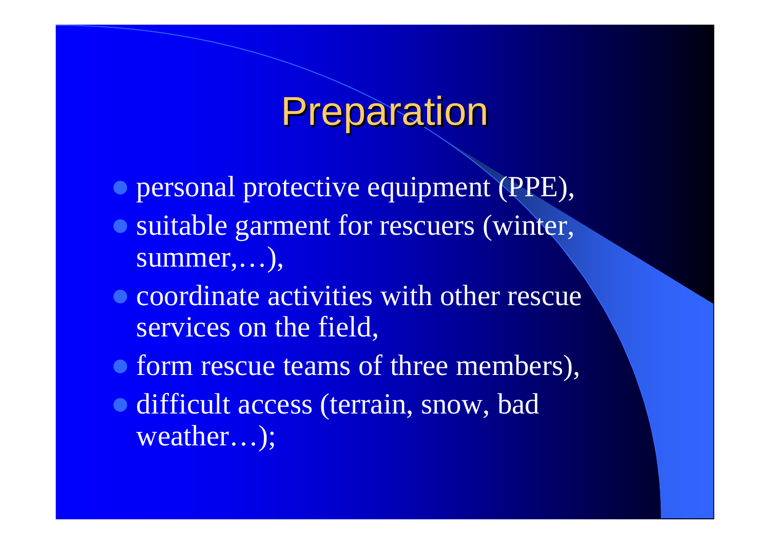### Preparation

- $\bullet$  personal protective equipment (PPE),
- suitable garment for rescuers (winter, summer,…),
- coordinate activities with other rescue services on the field,
- form rescue teams of three members),
- difficult access (terrain, snow, bad weather…);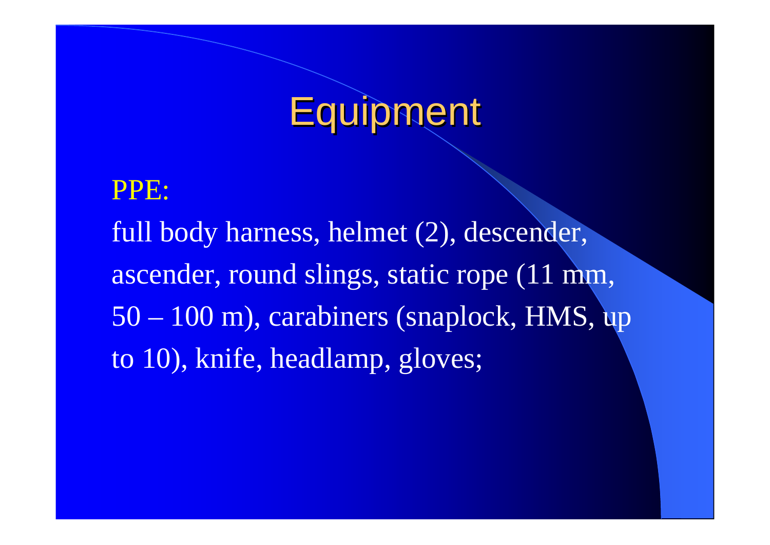# **Equipment**

### PPE: full body harness, helmet (2), descender, ascender, round slings, static rope (11 mm, 50 – 100 m), carabiners (snaplock, HMS, up to 10), knife, headlamp, gloves;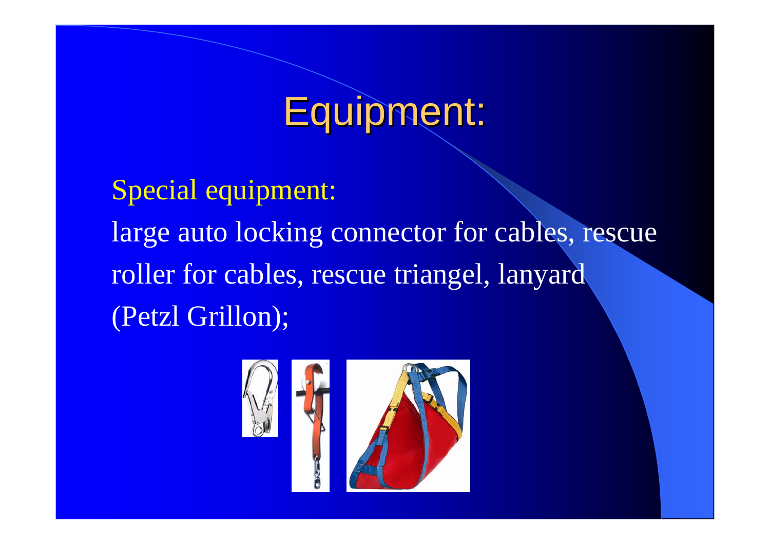# Equipment:

Special equipment: large auto locking connector for cables, rescue roller for cables, rescue triangel, lanyard (Petzl Grillon);

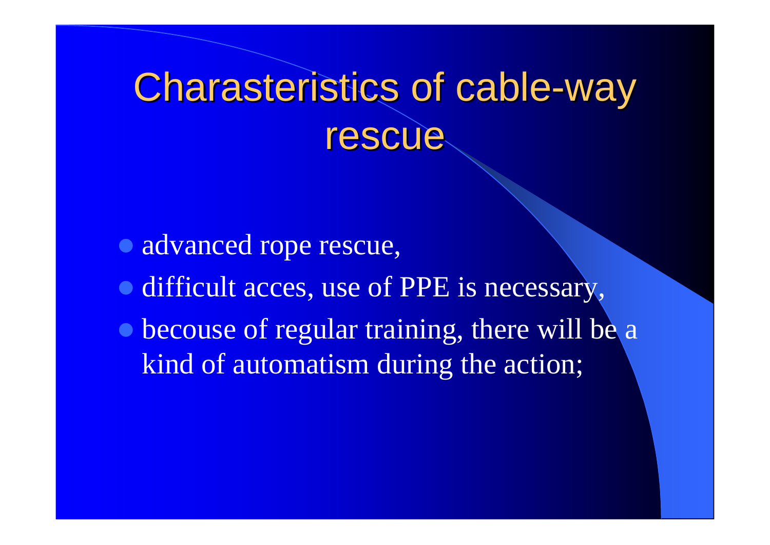# **Charasteristics of cable-way** rescue

- · advanced rope rescue,
- difficult acces, use of PPE is necessary,
- becouse of regular training, there will be a kind of automatism during the action;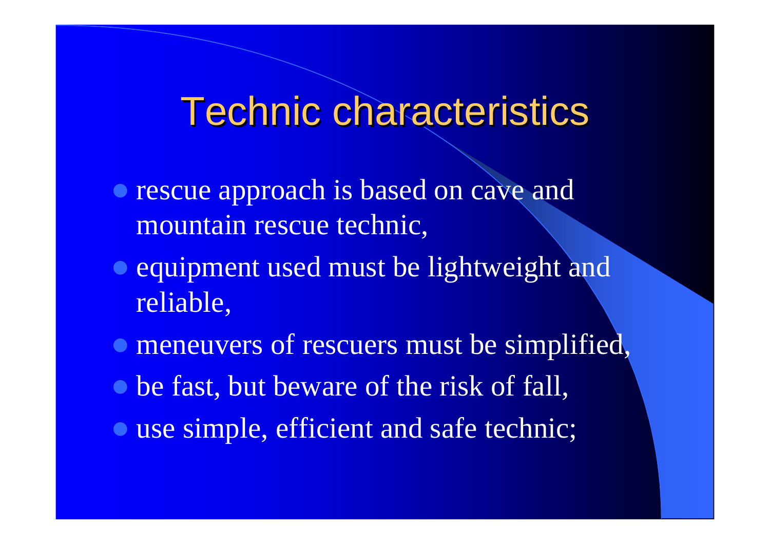### **Technic characteristics**

- rescue approach is based on cave and mountain rescue technic,
- equipment used must be lightweight and reliable,
- **meneuvers of rescuers must be simplified,**
- be fast, but beware of the risk of fall,
- use simple, efficient and safe technic;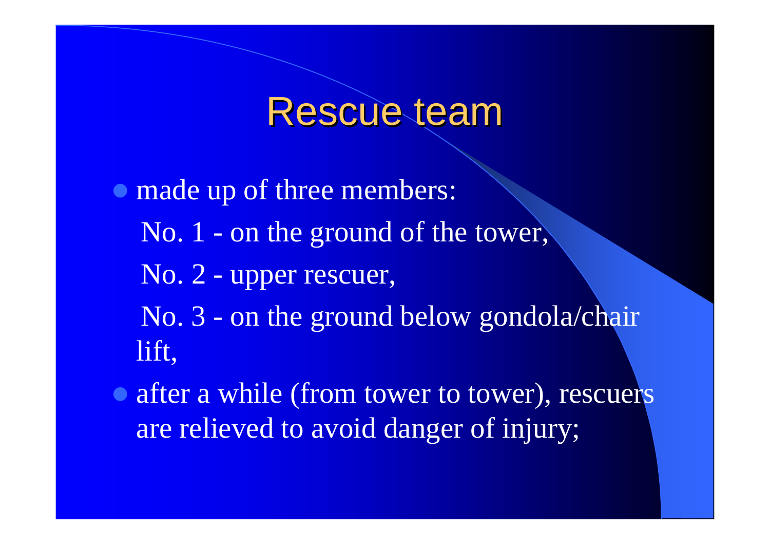#### Rescue team

- $\bullet$  made up of three members: No. 1 - on the ground of the tower, No. 2 - upper rescuer, No. 3 - on the ground below gondola/chair lift,
- after a while (from tower to tower), rescuers are relieved to avoid danger of injury;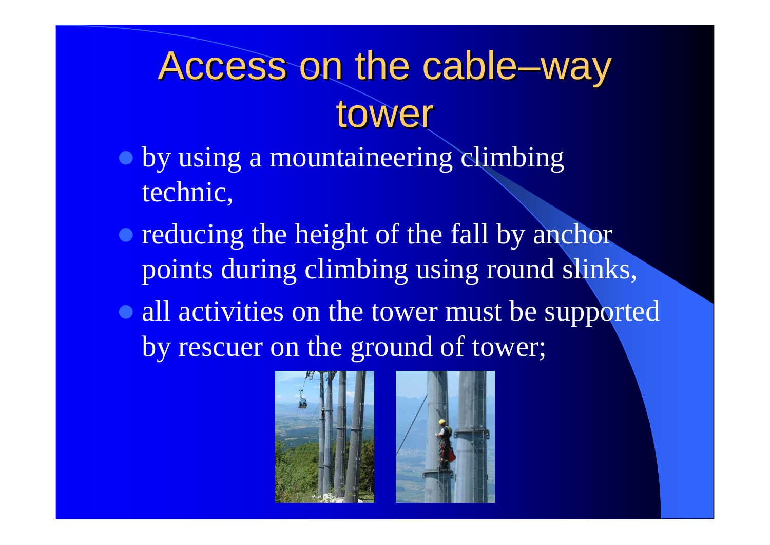# Access on the cable–way tower

- **by using a mountaineering climbing** technic,
- reducing the height of the fall by anchor points during climbing using round slinks,
- all activities on the tower must be supported by rescuer on the ground of tower;



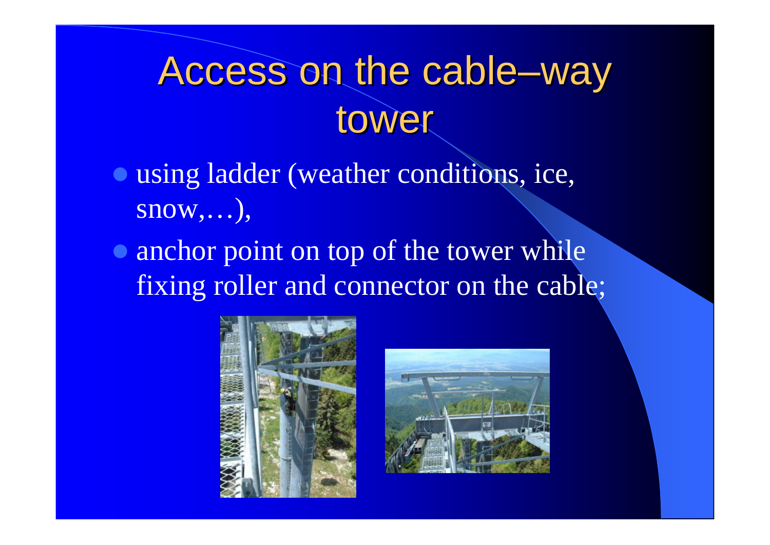# Access on the cable–way tower

- **using ladder (weather conditions, ice,** snow,…),
- anchor point on top of the tower while fixing roller and connector on the cable;



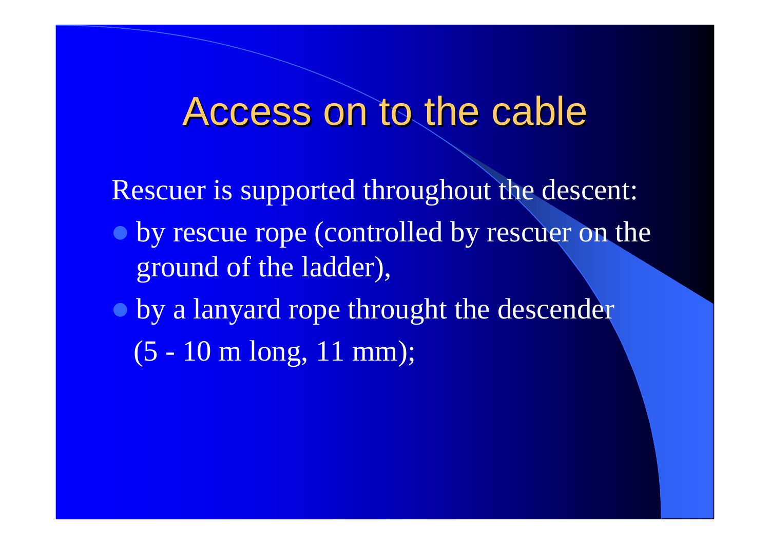#### Access on to the cable

Rescuer is supported throughout the descent:

- $\bullet$  by rescue rope (controlled by rescuer on the ground of the ladder),
- $\bullet$  by a lanyard rope throught the descender
	- (5 10 m long, 11 mm);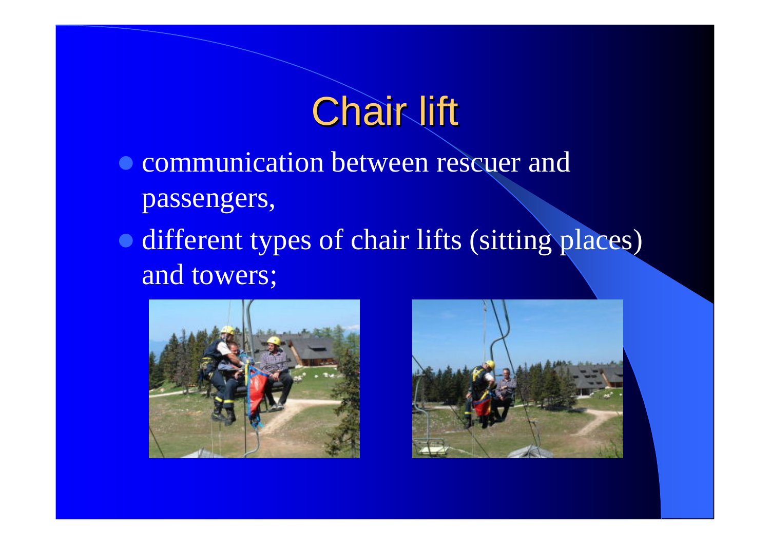# **Chair lift**

- communication between rescuer and passengers,
- different types of chair lifts (sitting places) and towers;



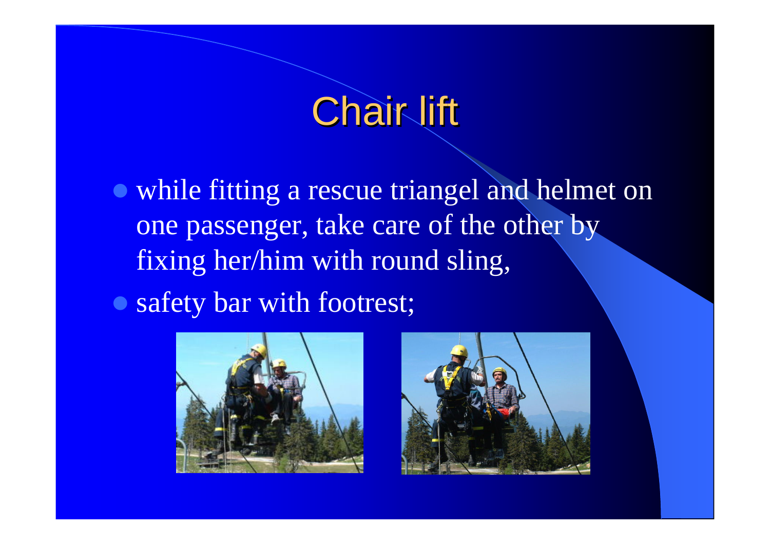# **Chair lift**

• while fitting a rescue triangel and helmet on one passenger, take care of the other by fixing her/him with round sling,

• safety bar with footrest;



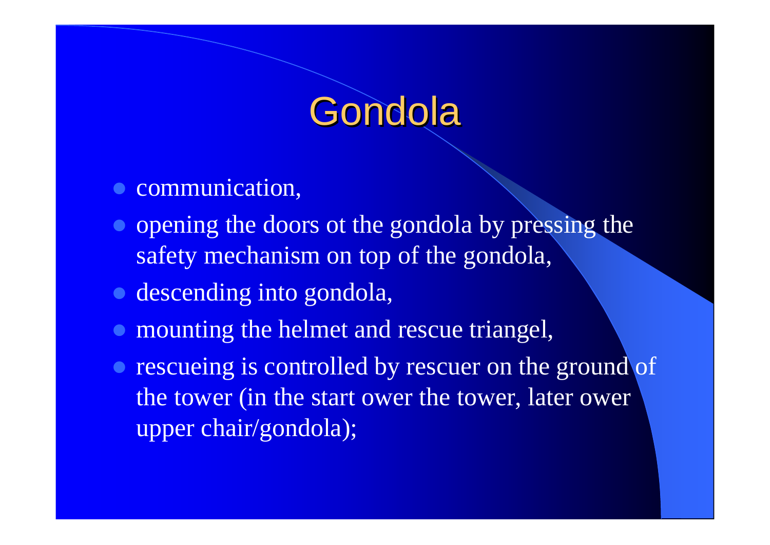# Gondola

- communication,
- opening the doors ot the gondola by pressing the safety mechanism on top of the gondola,
- **o** descending into gondola,
- $\bullet$ mounting the helmet and rescue triangel,
- rescueing is controlled by rescuer on the ground of the tower (in the start ower the tower, later ower upper chair/gondola);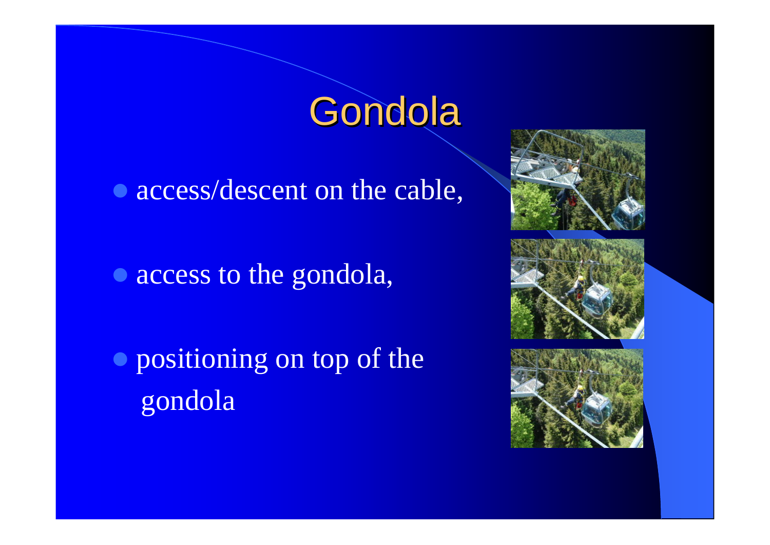# Gondola

• access/descent on the cable,

• access to the gondola,

 $\bullet$  positioning on top of the gondola

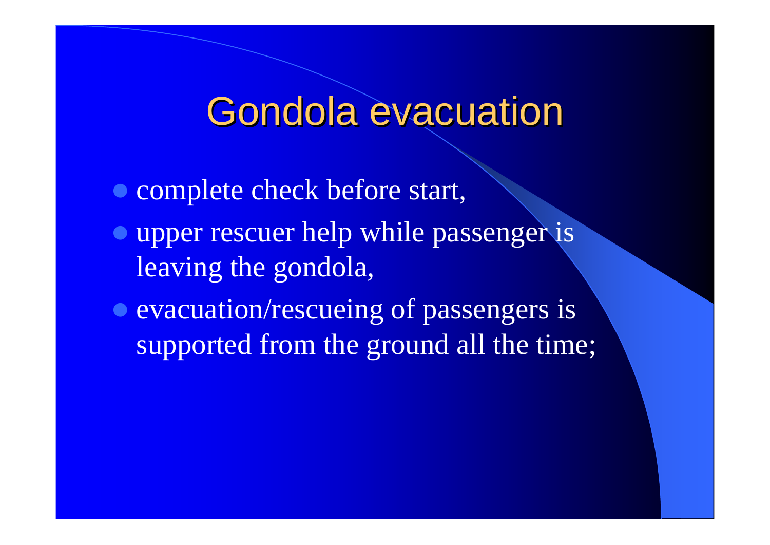#### Gondola evacuation

• complete check before start,

- **upper rescuer help while passenger is** leaving the gondola,
- evacuation/rescueing of passengers is supported from the ground all the time;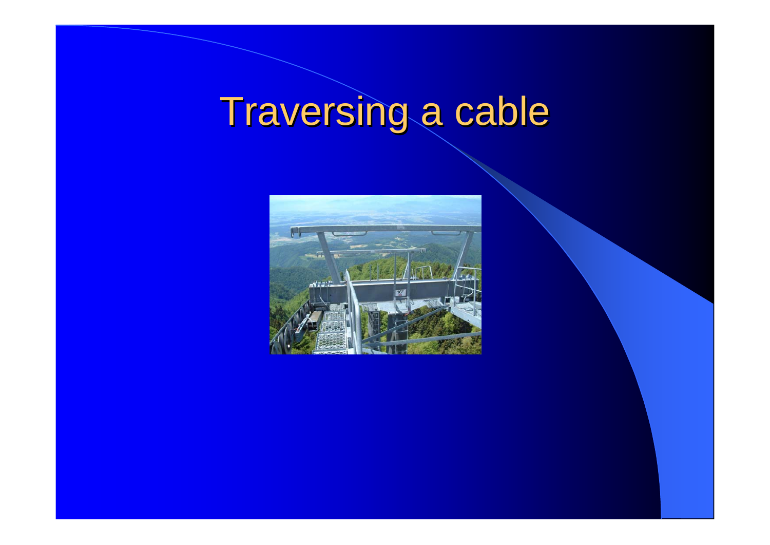# Traversing a cable

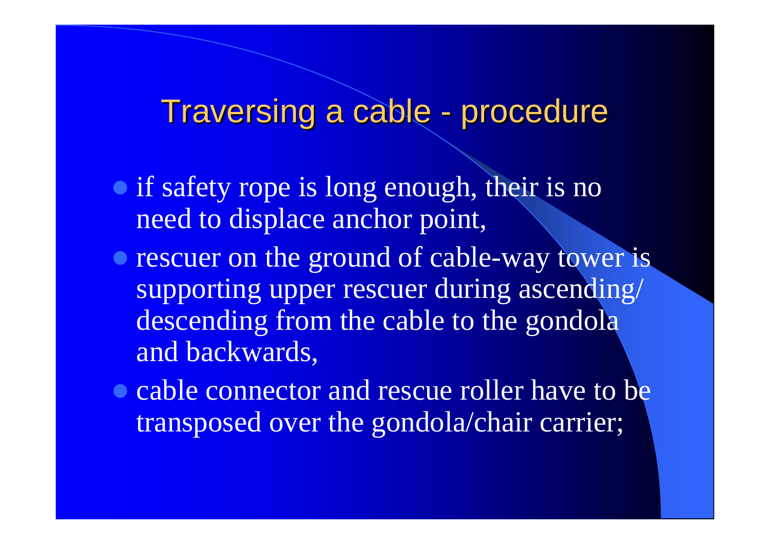#### Traversing a cable - procedure

- if safety rope is long enough, their is no need to displace anchor point,
- rescuer on the ground of cable-way tower is supporting upper rescuer during ascending/ descending from the cable to the gondola and backwards,
- cable connector and rescue roller have to be transposed over the gondola/chair carrier;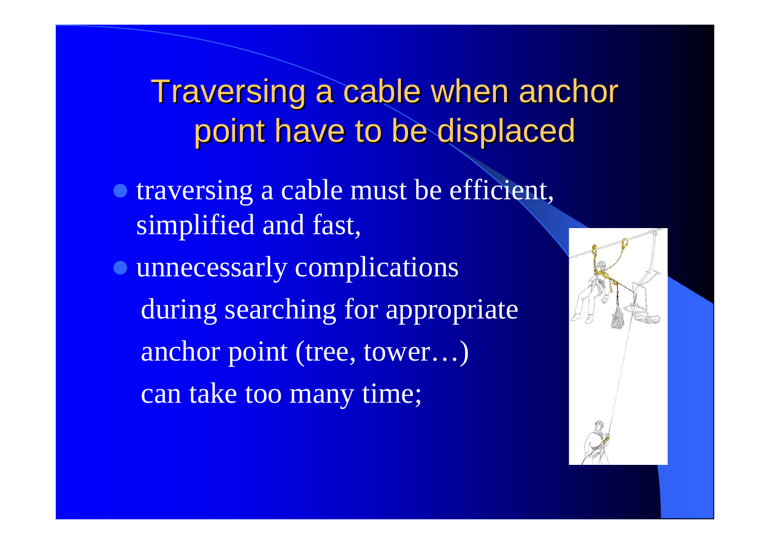Traversing a cable when anchor point have to be displaced

- **traversing a cable must be efficient,** simplified and fast,
- $\bullet$  unnecessarly complications during searching for appropriate anchor point (tree, tower…) can take too many time;

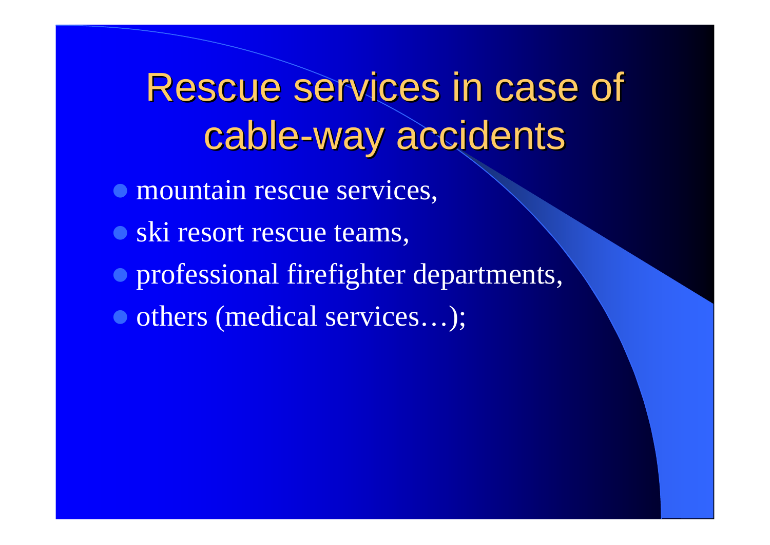Rescue services in case of cable-way accidents

- **mountain rescue services,**
- ski resort rescue teams,
- $\bullet$  professional firefighter departments,
- $\bullet$  others (medical services...);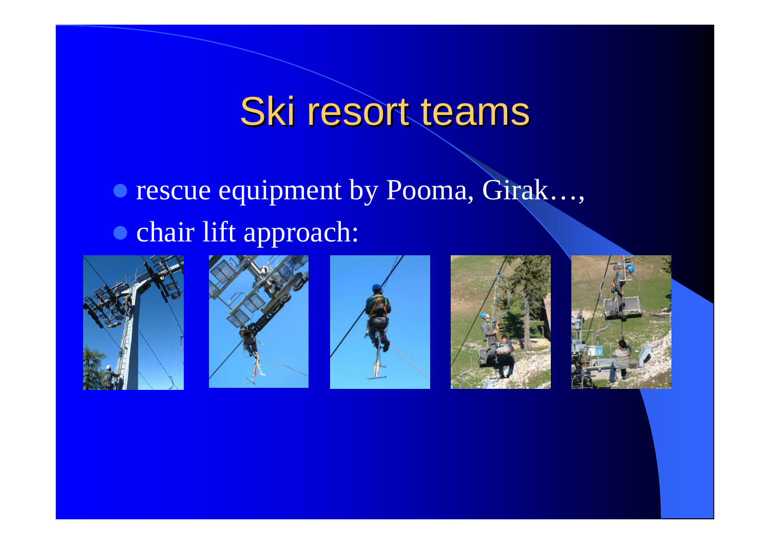# Ski resort teams

#### **• rescue equipment by Pooma, Girak..., • chair lift approach:**









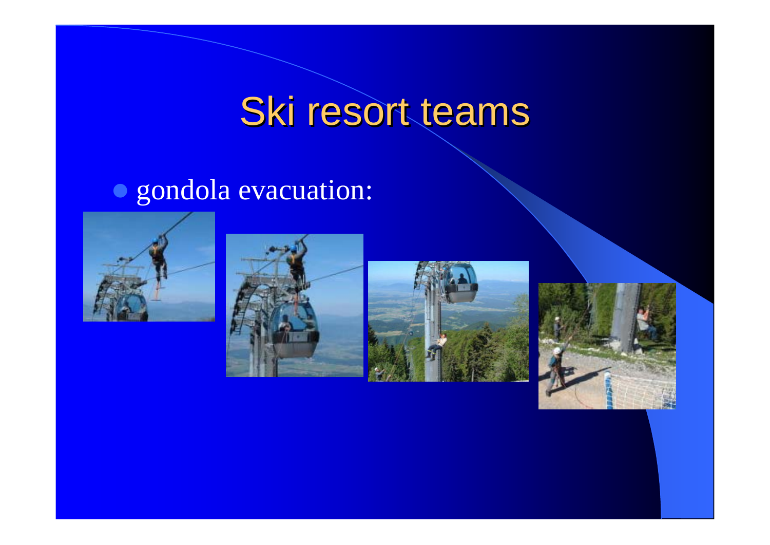# Ski resort teams

#### $\bullet$  gondola evacuation:







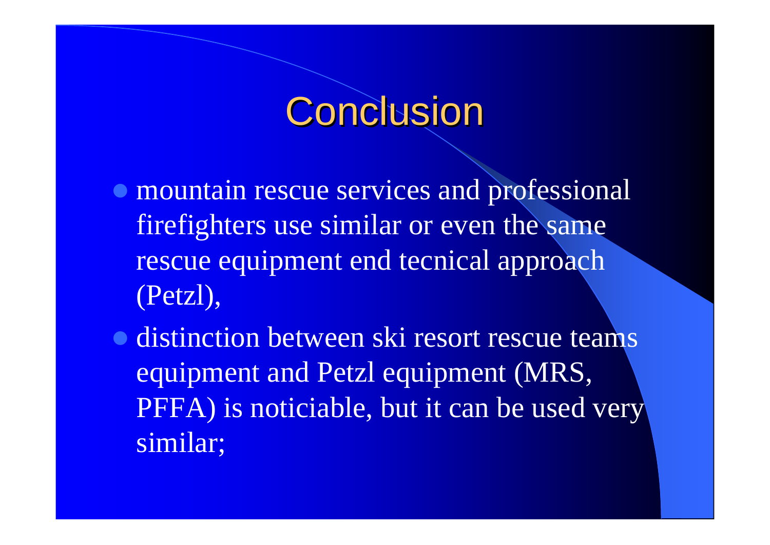# Conclusion

- $\bullet$  mountain rescue services and professional firefighters use similar or even the same rescue equipment end tecnical approach (Petzl),
- **distinction between ski resort rescue teams** equipment and Petzl equipment (MRS, PFFA) is noticiable, but it can be used very similar;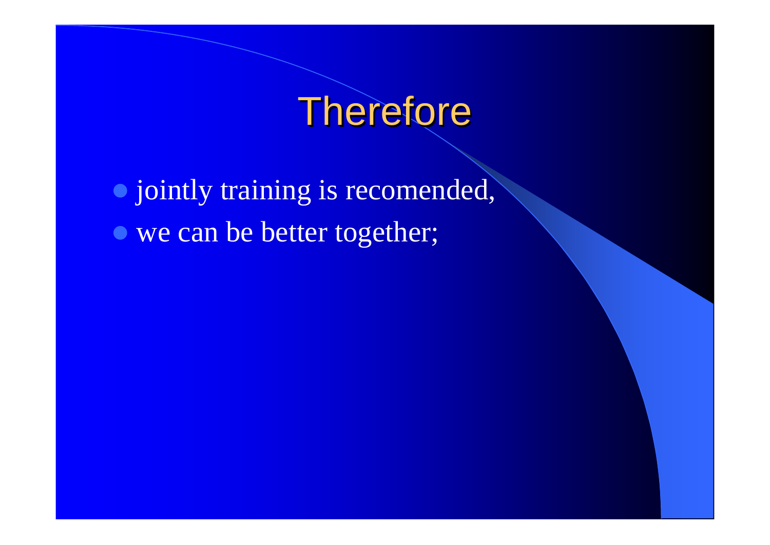# Therefore

 $\bullet$  jointly training is recomended, • we can be better together;